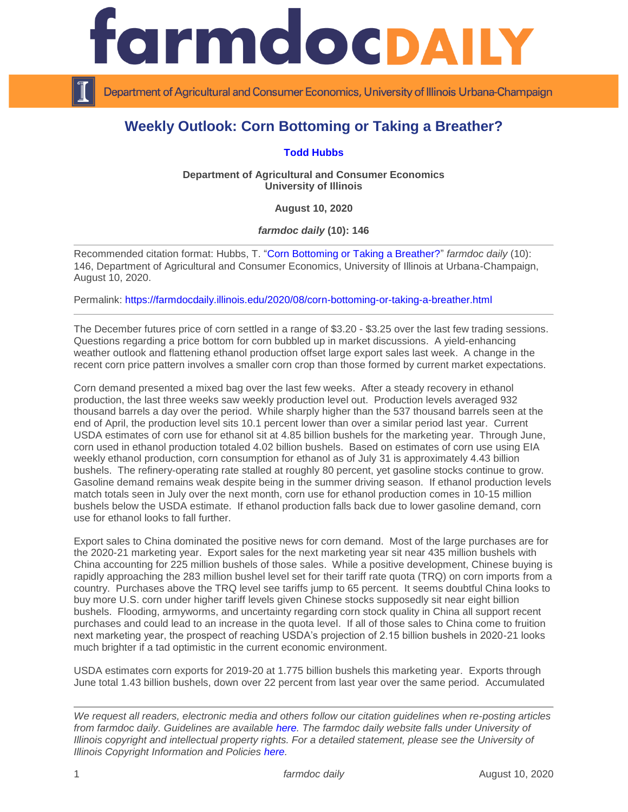

Department of Agricultural and Consumer Economics, University of Illinois Urbana-Champaign

## **Weekly Outlook: Corn Bottoming or Taking a Breather?**

## **[Todd Hubbs](https://ace.illinois.edu/directory/jhubbs3)**

**Department of Agricultural and Consumer Economics University of Illinois**

**August 10, 2020**

*farmdoc daily* **(10): 146**

Recommended citation format: Hubbs, T. ["Corn Bottoming or Taking a Breather?"](https://farmdocdaily.illinois.edu/2020/08/corn-bottoming-or-taking-a-breather.html) *farmdoc daily* (10): 146, Department of Agricultural and Consumer Economics, University of Illinois at Urbana-Champaign, August 10, 2020.

Permalink:<https://farmdocdaily.illinois.edu/2020/08/corn-bottoming-or-taking-a-breather.html>

The December futures price of corn settled in a range of \$3.20 - \$3.25 over the last few trading sessions. Questions regarding a price bottom for corn bubbled up in market discussions. A yield-enhancing weather outlook and flattening ethanol production offset large export sales last week. A change in the recent corn price pattern involves a smaller corn crop than those formed by current market expectations.

Corn demand presented a mixed bag over the last few weeks. After a steady recovery in ethanol production, the last three weeks saw weekly production level out. Production levels averaged 932 thousand barrels a day over the period. While sharply higher than the 537 thousand barrels seen at the end of April, the production level sits 10.1 percent lower than over a similar period last year. Current USDA estimates of corn use for ethanol sit at 4.85 billion bushels for the marketing year. Through June, corn used in ethanol production totaled 4.02 billion bushels. Based on estimates of corn use using EIA weekly ethanol production, corn consumption for ethanol as of July 31 is approximately 4.43 billion bushels. The refinery-operating rate stalled at roughly 80 percent, yet gasoline stocks continue to grow. Gasoline demand remains weak despite being in the summer driving season. If ethanol production levels match totals seen in July over the next month, corn use for ethanol production comes in 10-15 million bushels below the USDA estimate. If ethanol production falls back due to lower gasoline demand, corn use for ethanol looks to fall further.

Export sales to China dominated the positive news for corn demand. Most of the large purchases are for the 2020-21 marketing year. Export sales for the next marketing year sit near 435 million bushels with China accounting for 225 million bushels of those sales. While a positive development, Chinese buying is rapidly approaching the 283 million bushel level set for their tariff rate quota (TRQ) on corn imports from a country. Purchases above the TRQ level see tariffs jump to 65 percent. It seems doubtful China looks to buy more U.S. corn under higher tariff levels given Chinese stocks supposedly sit near eight billion bushels. Flooding, armyworms, and uncertainty regarding corn stock quality in China all support recent purchases and could lead to an increase in the quota level. If all of those sales to China come to fruition next marketing year, the prospect of reaching USDA's projection of 2.15 billion bushels in 2020-21 looks much brighter if a tad optimistic in the current economic environment.

USDA estimates corn exports for 2019-20 at 1.775 billion bushels this marketing year. Exports through June total 1.43 billion bushels, down over 22 percent from last year over the same period. Accumulated

*We request all readers, electronic media and others follow our citation guidelines when re-posting articles from farmdoc daily. Guidelines are available [here.](http://farmdocdaily.illinois.edu/citationguide.html) The farmdoc daily website falls under University of Illinois copyright and intellectual property rights. For a detailed statement, please see the University of Illinois Copyright Information and Policies [here.](http://www.cio.illinois.edu/policies/copyright/)*